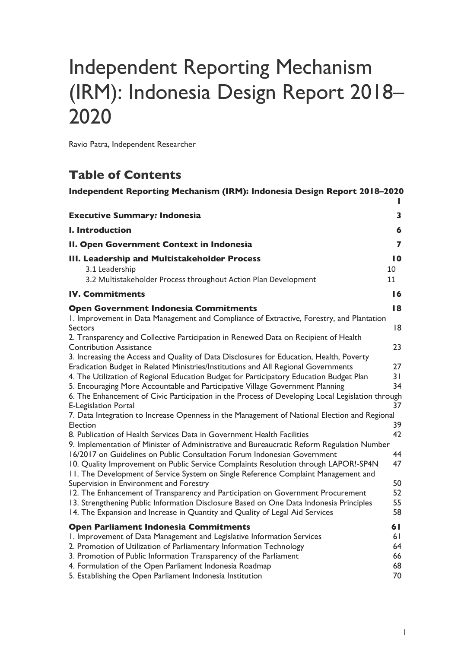# Independent Reporting Mechanism (IRM): Indonesia Design Report 2018– 2020

Ravio Patra, Independent Researcher

## **Table of Contents**

| Independent Reporting Mechanism (IRM): Indonesia Design Report 2018-2020                                                                                                                                                                                                                                                                                                                    |                                  |
|---------------------------------------------------------------------------------------------------------------------------------------------------------------------------------------------------------------------------------------------------------------------------------------------------------------------------------------------------------------------------------------------|----------------------------------|
| <b>Executive Summary: Indonesia</b>                                                                                                                                                                                                                                                                                                                                                         | 3                                |
| I. Introduction                                                                                                                                                                                                                                                                                                                                                                             | 6                                |
| II. Open Government Context in Indonesia                                                                                                                                                                                                                                                                                                                                                    | 7                                |
| III. Leadership and Multistakeholder Process<br>3.1 Leadership<br>3.2 Multistakeholder Process throughout Action Plan Development                                                                                                                                                                                                                                                           | 10<br>10<br>11                   |
| <b>IV. Commitments</b>                                                                                                                                                                                                                                                                                                                                                                      | 16                               |
| <b>Open Government Indonesia Commitments</b><br>1. Improvement in Data Management and Compliance of Extractive, Forestry, and Plantation<br><b>Sectors</b><br>2. Transparency and Collective Participation in Renewed Data on Recipient of Health                                                                                                                                           | 18<br>18                         |
| <b>Contribution Assistance</b><br>3. Increasing the Access and Quality of Data Disclosures for Education, Health, Poverty<br>Eradication Budget in Related Ministries/Institutions and All Regional Governments<br>4. The Utilization of Regional Education Budget for Participatory Education Budget Plan<br>5. Encouraging More Accountable and Participative Village Government Planning | 23<br>27<br>31<br>34             |
| 6. The Enhancement of Civic Participation in the Process of Developing Local Legislation through<br><b>E-Legislation Portal</b><br>7. Data Integration to Increase Openness in the Management of National Election and Regional<br><b>Election</b><br>8. Publication of Health Services Data in Government Health Facilities                                                                | 37<br>39<br>42                   |
| 9. Implementation of Minister of Administrative and Bureaucratic Reform Regulation Number<br>16/2017 on Guidelines on Public Consultation Forum Indonesian Government<br>10. Quality Improvement on Public Service Complaints Resolution through LAPOR!-SP4N<br>11. The Development of Service System on Single Reference Complaint Management and                                          | 44<br>47                         |
| Supervision in Environment and Forestry<br>12. The Enhancement of Transparency and Participation on Government Procurement<br>13. Strengthening Public Information Disclosure Based on One Data Indonesia Principles<br>14. The Expansion and Increase in Quantity and Quality of Legal Aid Services                                                                                        | 50<br>52<br>55<br>58             |
| <b>Open Parliament Indonesia Commitments</b><br>I. Improvement of Data Management and Legislative Information Services<br>2. Promotion of Utilization of Parliamentary Information Technology<br>3. Promotion of Public Information Transparency of the Parliament<br>4. Formulation of the Open Parliament Indonesia Roadmap<br>5. Establishing the Open Parliament Indonesia Institution  | 61<br>61<br>64<br>66<br>68<br>70 |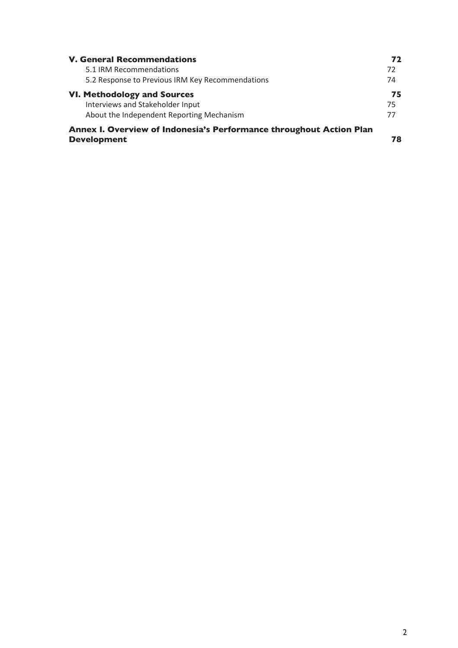| <b>V. General Recommendations</b>                                   |    |  |  |  |  |  |  |  |  |  |
|---------------------------------------------------------------------|----|--|--|--|--|--|--|--|--|--|
| 5.1 IRM Recommendations                                             | 72 |  |  |  |  |  |  |  |  |  |
| 5.2 Response to Previous IRM Key Recommendations                    | 74 |  |  |  |  |  |  |  |  |  |
| <b>VI. Methodology and Sources</b>                                  | 75 |  |  |  |  |  |  |  |  |  |
| Interviews and Stakeholder Input                                    | 75 |  |  |  |  |  |  |  |  |  |
| About the Independent Reporting Mechanism                           | 77 |  |  |  |  |  |  |  |  |  |
| Annex I. Overview of Indonesia's Performance throughout Action Plan |    |  |  |  |  |  |  |  |  |  |
| <b>Development</b>                                                  | 78 |  |  |  |  |  |  |  |  |  |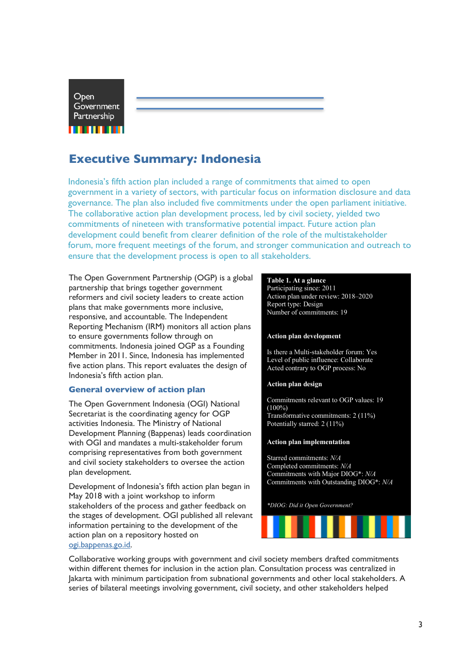Open Government Partnership 11 11 11 11 11

## **Executive Summary***:* **Indonesia**

Indonesia's fifth action plan included a range of commitments that aimed to open government in a variety of sectors, with particular focus on information disclosure and data governance. The plan also included five commitments under the open parliament initiative. The collaborative action plan development process, led by civil society, yielded two commitments of nineteen with transformative potential impact. Future action plan development could benefit from clearer definition of the role of the multistakeholder forum, more frequent meetings of the forum, and stronger communication and outreach to ensure that the development process is open to all stakeholders.

The Open Government Partnership (OGP) is a global partnership that brings together government reformers and civil society leaders to create action plans that make governments more inclusive, responsive, and accountable. The Independent Reporting Mechanism (IRM) monitors all action plans to ensure governments follow through on commitments. Indonesia joined OGP as a Founding Member in 2011. Since, Indonesia has implemented five action plans. This report evaluates the design of Indonesia's fifth action plan.

## **General overview of action plan**

The Open Government Indonesia (OGI) National Secretariat is the coordinating agency for OGP activities Indonesia. The Ministry of National Development Planning (Bappenas) leads coordination with OGI and mandates a multi-stakeholder forum comprising representatives from both government and civil society stakeholders to oversee the action plan development.

Development of Indonesia's fifth action plan began in May 2018 with a joint workshop to inform stakeholders of the process and gather feedback on the stages of development. OGI published all relevant information pertaining to the development of the action plan on a repository hosted on ogi.bappenas.go.id.

#### **Table 1. At a glance**

Participating since: 2011 Action plan under review: 2018–2020 Report type: Design Number of commitments: 19

#### **Action plan development**

Is there a Multi-stakeholder forum: Yes Level of public influence: Collaborate Acted contrary to OGP process: No

#### **Action plan design**

Commitments relevant to OGP values: 19 (100%) Transformative commitments: 2 (11%) Potentially starred: 2 (11%)

#### **Action plan implementation**

Starred commitments: *N/A* Completed commitments: *N/A* Commitments with Major DIOG\*: *N/A* Commitments with Outstanding DIOG\*: *N/A*

*\*DIOG: Did it Open Government?*



Collaborative working groups with government and civil society members drafted commitments within different themes for inclusion in the action plan. Consultation process was centralized in Jakarta with minimum participation from subnational governments and other local stakeholders. A series of bilateral meetings involving government, civil society, and other stakeholders helped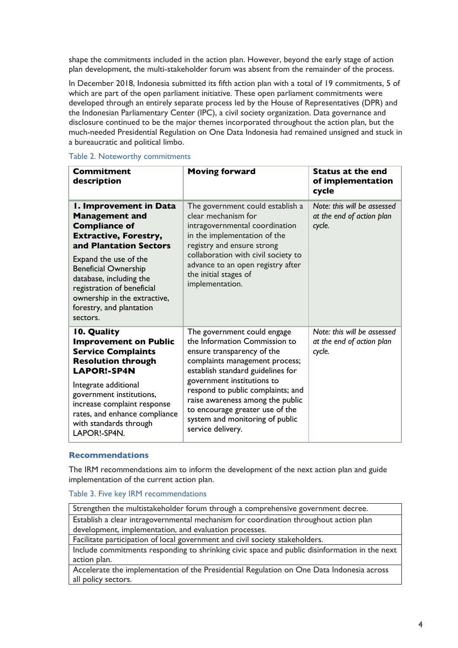shape the commitments included in the action plan. However, beyond the early stage of action plan development, the multi-stakeholder forum was absent from the remainder of the process.

In December 2018, Indonesia submitted its fifth action plan with a total of 19 commitments, 5 of which are part of the open parliament initiative. These open parliament commitments were developed through an entirely separate process led by the House of Representatives (DPR) and the Indonesian Parliamentary Center (IPC), a civil society organization. Data governance and disclosure continued to be the major themes incorporated throughout the action plan, but the much-needed Presidential Regulation on One Data Indonesia had remained unsigned and stuck in a bureaucratic and political limbo.

## Table 2. Noteworthy commitments

| <b>Commitment</b><br>description                                                                                                                                                                                                                                                                                           | <b>Moving forward</b>                                                                                                                                                                                                                                                                                                                                               | <b>Status at the end</b><br>of implementation<br>cycle             |
|----------------------------------------------------------------------------------------------------------------------------------------------------------------------------------------------------------------------------------------------------------------------------------------------------------------------------|---------------------------------------------------------------------------------------------------------------------------------------------------------------------------------------------------------------------------------------------------------------------------------------------------------------------------------------------------------------------|--------------------------------------------------------------------|
| I. Improvement in Data<br><b>Management and</b><br><b>Compliance of</b><br><b>Extractive, Forestry,</b><br>and Plantation Sectors<br>Expand the use of the<br><b>Beneficial Ownership</b><br>database, including the<br>registration of beneficial<br>ownership in the extractive,<br>forestry, and plantation<br>sectors. | The government could establish a<br>clear mechanism for<br>intragovernmental coordination<br>in the implementation of the<br>registry and ensure strong<br>collaboration with civil society to<br>advance to an open registry after<br>the initial stages of<br>implementation.                                                                                     | Note: this will be assessed<br>at the end of action plan<br>cycle. |
| 10. Quality<br><b>Improvement on Public</b><br><b>Service Complaints</b><br><b>Resolution through</b><br><b>LAPOR!-SP4N</b><br>Integrate additional<br>government institutions,<br>increase complaint response<br>rates, and enhance compliance<br>with standards through<br>LAPOR!-SP4N.                                  | The government could engage<br>the Information Commission to<br>ensure transparency of the<br>complaints management process;<br>establish standard guidelines for<br>government institutions to<br>respond to public complaints; and<br>raise awareness among the public<br>to encourage greater use of the<br>system and monitoring of public<br>service delivery. | Note: this will be assessed<br>at the end of action plan<br>cycle. |

## **Recommendations**

The IRM recommendations aim to inform the development of the next action plan and guide implementation of the current action plan.

Table 3. Five key IRM recommendations

| Strengthen the multistakeholder forum through a comprehensive government decree.              |
|-----------------------------------------------------------------------------------------------|
| Establish a clear intragovernmental mechanism for coordination throughout action plan         |
| development, implementation, and evaluation processes.                                        |
| Facilitate participation of local government and civil society stakeholders.                  |
| Include commitments responding to shrinking civic space and public disinformation in the next |
| action plan.                                                                                  |
| Accelerate the implementation of the Presidential Regulation on One Data Indonesia across     |
| all policy sectors.                                                                           |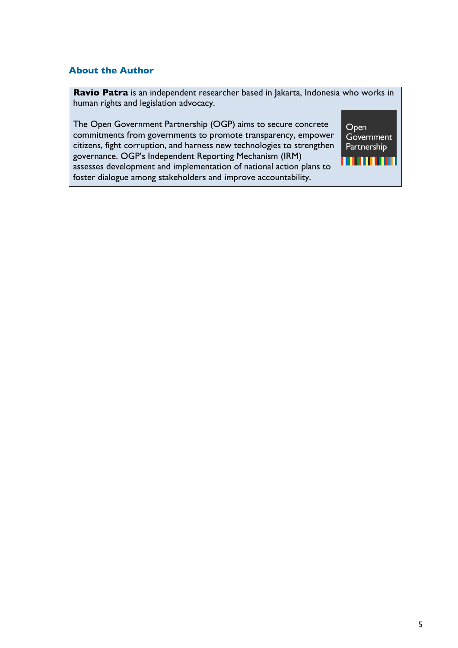## **About the Author**

**Ravio Patra** is an independent researcher based in Jakarta, Indonesia who works in human rights and legislation advocacy.

The Open Government Partnership (OGP) aims to secure concrete commitments from governments to promote transparency, empower citizens, fight corruption, and harness new technologies to strengthen governance. OGP's Independent Reporting Mechanism (IRM) assesses development and implementation of national action plans to foster dialogue among stakeholders and improve accountability.

Open Government Partnership <u>n man</u>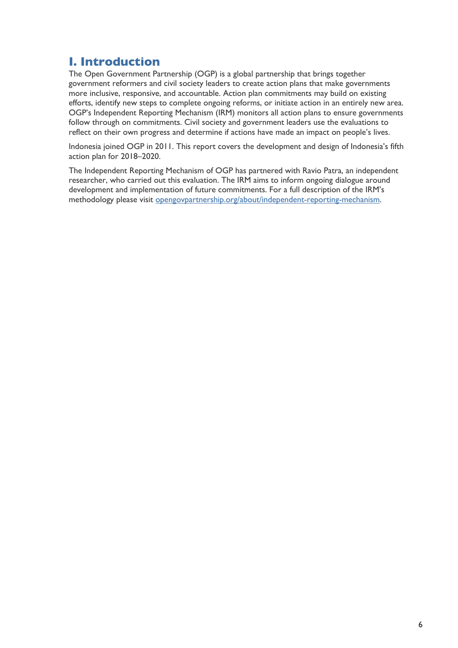## **I. Introduction**

The Open Government Partnership (OGP) is a global partnership that brings together government reformers and civil society leaders to create action plans that make governments more inclusive, responsive, and accountable. Action plan commitments may build on existing efforts, identify new steps to complete ongoing reforms, or initiate action in an entirely new area. OGP's Independent Reporting Mechanism (IRM) monitors all action plans to ensure governments follow through on commitments. Civil society and government leaders use the evaluations to reflect on their own progress and determine if actions have made an impact on people's lives.

Indonesia joined OGP in 2011. This report covers the development and design of Indonesia's fifth action plan for 2018–2020.

The Independent Reporting Mechanism of OGP has partnered with Ravio Patra, an independent researcher, who carried out this evaluation. The IRM aims to inform ongoing dialogue around development and implementation of future commitments. For a full description of the IRM's methodology please visit opengovpartnership.org/about/independent-reporting-mechanism.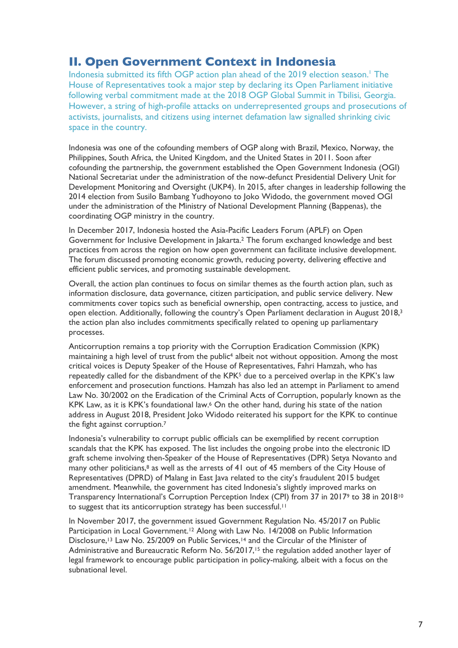## **II. Open Government Context in Indonesia**

Indonesia submitted its fifth OGP action plan ahead of the 2019 election season.<sup>1</sup> The House of Representatives took a major step by declaring its Open Parliament initiative following verbal commitment made at the 2018 OGP Global Summit in Tbilisi, Georgia. However, a string of high-profile attacks on underrepresented groups and prosecutions of activists, journalists, and citizens using internet defamation law signalled shrinking civic space in the country.

Indonesia was one of the cofounding members of OGP along with Brazil, Mexico, Norway, the Philippines, South Africa, the United Kingdom, and the United States in 2011. Soon after cofounding the partnership, the government established the Open Government Indonesia (OGI) National Secretariat under the administration of the now-defunct Presidential Delivery Unit for Development Monitoring and Oversight (UKP4). In 2015, after changes in leadership following the 2014 election from Susilo Bambang Yudhoyono to Joko Widodo, the government moved OGI under the administration of the Ministry of National Development Planning (Bappenas), the coordinating OGP ministry in the country.

In December 2017, Indonesia hosted the Asia-Pacific Leaders Forum (APLF) on Open Government for Inclusive Development in Jakarta.2 The forum exchanged knowledge and best practices from across the region on how open government can facilitate inclusive development. The forum discussed promoting economic growth, reducing poverty, delivering effective and efficient public services, and promoting sustainable development.

Overall, the action plan continues to focus on similar themes as the fourth action plan, such as information disclosure, data governance, citizen participation, and public service delivery. New commitments cover topics such as beneficial ownership, open contracting, access to justice, and open election. Additionally, following the country's Open Parliament declaration in August 2018,3 the action plan also includes commitments specifically related to opening up parliamentary processes.

Anticorruption remains a top priority with the Corruption Eradication Commission (KPK) maintaining a high level of trust from the public<sup>4</sup> albeit not without opposition. Among the most critical voices is Deputy Speaker of the House of Representatives, Fahri Hamzah, who has repeatedly called for the disbandment of the KPK<sup>5</sup> due to a perceived overlap in the KPK's law enforcement and prosecution functions. Hamzah has also led an attempt in Parliament to amend Law No. 30/2002 on the Eradication of the Criminal Acts of Corruption, popularly known as the KPK Law, as it is KPK's foundational law.<sup>6</sup> On the other hand, during his state of the nation address in August 2018, President Joko Widodo reiterated his support for the KPK to continue the fight against corruption.7

Indonesia's vulnerability to corrupt public officials can be exemplified by recent corruption scandals that the KPK has exposed. The list includes the ongoing probe into the electronic ID graft scheme involving then-Speaker of the House of Representatives (DPR) Setya Novanto and many other politicians,<sup>8</sup> as well as the arrests of 41 out of 45 members of the City House of Representatives (DPRD) of Malang in East Java related to the city's fraudulent 2015 budget amendment. Meanwhile, the government has cited Indonesia's slightly improved marks on Transparency International's Corruption Perception Index (CPI) from 37 in 20179 to 38 in 201810 to suggest that its anticorruption strategy has been successful.<sup>11</sup>

In November 2017, the government issued Government Regulation No. 45/2017 on Public Participation in Local Government.<sup>12</sup> Along with Law No. 14/2008 on Public Information Disclosure,<sup>13</sup> Law No. 25/2009 on Public Services,<sup>14</sup> and the Circular of the Minister of Administrative and Bureaucratic Reform No. 56/2017,<sup>15</sup> the regulation added another layer of legal framework to encourage public participation in policy-making, albeit with a focus on the subnational level.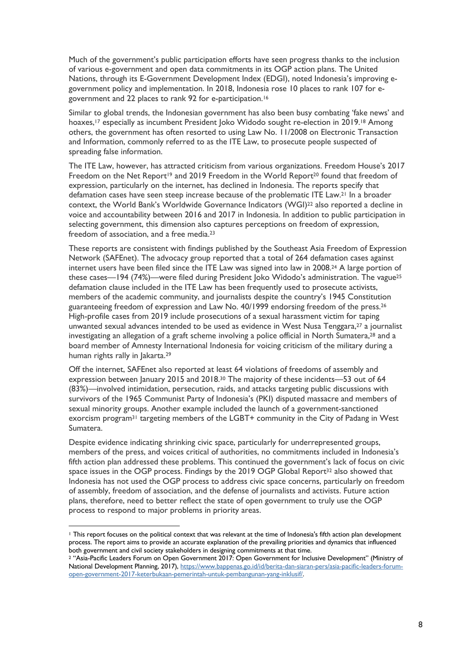Much of the government's public participation efforts have seen progress thanks to the inclusion of various e-government and open data commitments in its OGP action plans. The United Nations, through its E-Government Development Index (EDGI), noted Indonesia's improving egovernment policy and implementation. In 2018, Indonesia rose 10 places to rank 107 for egovernment and 22 places to rank 92 for e-participation.16

Similar to global trends, the Indonesian government has also been busy combating 'fake news' and hoaxes, <sup>17</sup> especially as incumbent President Joko Widodo sought re-election in 2019.18 Among others, the government has often resorted to using Law No. 11/2008 on Electronic Transaction and Information, commonly referred to as the ITE Law, to prosecute people suspected of spreading false information.

The ITE Law, however, has attracted criticism from various organizations. Freedom House's 2017 Freedom on the Net Report<sup>19</sup> and 2019 Freedom in the World Report<sup>20</sup> found that freedom of expression, particularly on the internet, has declined in Indonesia. The reports specify that defamation cases have seen steep increase because of the problematic ITE Law.21 In a broader context, the World Bank's Worldwide Governance Indicators (WGI)22 also reported a decline in voice and accountability between 2016 and 2017 in Indonesia. In addition to public participation in selecting government, this dimension also captures perceptions on freedom of expression, freedom of association, and a free media.<sup>23</sup>

These reports are consistent with findings published by the Southeast Asia Freedom of Expression Network (SAFEnet). The advocacy group reported that a total of 264 defamation cases against internet users have been filed since the ITE Law was signed into law in 2008.24 A large portion of these cases—194 (74%)—were filed during President Joko Widodo's administration. The vague<sup>25</sup> defamation clause included in the ITE Law has been frequently used to prosecute activists, members of the academic community, and journalists despite the country's 1945 Constitution guaranteeing freedom of expression and Law No. 40/1999 endorsing freedom of the press.26 High-profile cases from 2019 include prosecutions of a sexual harassment victim for taping unwanted sexual advances intended to be used as evidence in West Nusa Tenggara,27 a journalist investigating an allegation of a graft scheme involving a police official in North Sumatera, <sup>28</sup> and a board member of Amnesty International Indonesia for voicing criticism of the military during a human rights rally in Jakarta.29

Off the internet, SAFEnet also reported at least 64 violations of freedoms of assembly and expression between January 2015 and 2018.<sup>30</sup> The majority of these incidents—53 out of 64 (83%)—involved intimidation, persecution, raids, and attacks targeting public discussions with survivors of the 1965 Communist Party of Indonesia's (PKI) disputed massacre and members of sexual minority groups. Another example included the launch of a government-sanctioned exorcism program<sup>31</sup> targeting members of the LGBT+ community in the City of Padang in West Sumatera.

Despite evidence indicating shrinking civic space, particularly for underrepresented groups, members of the press, and voices critical of authorities, no commitments included in Indonesia's fifth action plan addressed these problems. This continued the government's lack of focus on civic space issues in the OGP process. Findings by the 2019 OGP Global Report<sup>32</sup> also showed that Indonesia has not used the OGP process to address civic space concerns, particularly on freedom of assembly, freedom of association, and the defense of journalists and activists. Future action plans, therefore, need to better reflect the state of open government to truly use the OGP process to respond to major problems in priority areas.

<sup>&</sup>lt;sup>1</sup> This report focuses on the political context that was relevant at the time of Indonesia's fifth action plan development process. The report aims to provide an accurate explanation of the prevailing priorities and dynamics that influenced both government and civil society stakeholders in designing commitments at that time.

<sup>&</sup>lt;sup>2</sup> "Asia-Pacific Leaders Forum on Open Government 2017: Open Government for Inclusive Development" (Ministry of National Development Planning, 2017), https://www.bappenas.go.id/id/berita-dan-siaran-pers/asia-pacific-leaders-forumopen-government-2017-keterbukaan-pemerintah-untuk-pembangunan-yang-inklusif/.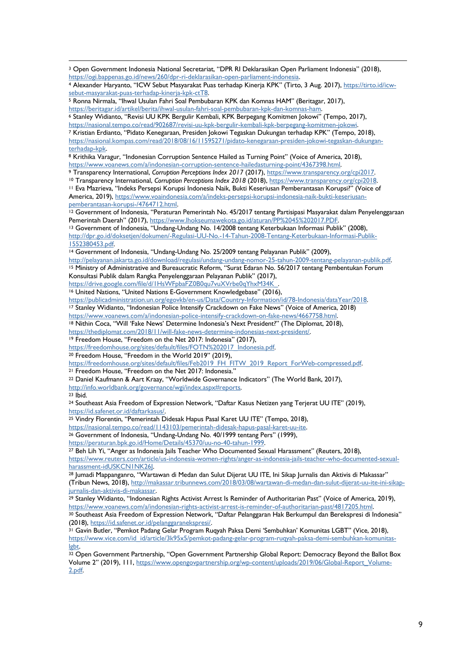| <sup>3</sup> Open Government Indonesia National Secretariat, "DPR RI Deklarasikan Open Parliament Indonesia" (2018), |  |
|----------------------------------------------------------------------------------------------------------------------|--|
| https://ogi.bappenas.go.id/news/260/dpr-ri-deklarasikan-open-parliament-indonesia.                                   |  |

```
4 Alexander Haryanto, "ICW Sebut Masyarakat Puas terhadap Kinerja KPK" (Tirto, 3 Aug. 2017), https://tirto.id/icw-
sebut-masyarakat-puas-terhadap-kinerja-kpk-ctT8.
```
<sup>5</sup> Ronna Nirmala, "Ihwal Usulan Fahri Soal Pembubaran KPK dan Komnas HAM" (Beritagar, 2017), https://beritagar.id/artikel/berita/ihwal-usulan-fahri-soal-pembubaran-kpk-dan-komnas-ham.

<sup>6</sup> Stanley Widianto, "Revisi UU KPK Bergulir Kembali, KPK Berpegang Komitmen Jokowi" (Tempo, 2017), https://nasional.tempo.co/read/902687/revisi-uu-kpk-bergulir-kembali-kpk-berpegang-komitmen-jokowi.

<sup>7</sup> Kristian Erdianto, "Pidato Kenegaraan, Presiden Jokowi Tegaskan Dukungan terhadap KPK" (Tempo, 2018), https://nasional.kompas.com/read/2018/08/16/11595271/pidato-kenegaraan-presiden-jokowi-tegaskan-dukunganterhadap-kpk.

<sup>8</sup> Krithika Varagur, "Indonesian Corruption Sentence Hailed as Turning Point" (Voice of America, 2018), https://www.voanews.com/a/indonesian-corruption-sentence-hailedasturning-point/4367398.html.

<sup>9</sup> Transparency International, *Corruption Perceptions Index 2017* (2017), https://www.transparency.org/cpi2017.

<sup>10</sup> Transparency International, *Corruption Perceptions Index 2018* (2018), https://www.transparency.org/cpi2018. <sup>11</sup> Eva Mazrieva, "Indeks Persepsi Korupsi Indonesia Naik, Bukti Keseriusan Pemberantasan Korupsi?" (Voice of America, 2019), https://www.voaindonesia.com/a/indeks-persepsi-korupsi-indonesia-naik-bukti-keseriusanpemberantasan-korupsi-/4764712.html.

<sup>12</sup> Government of Indonesia, "Peraturan Pemerintah No. 45/2017 tentang Partisipasi Masyarakat dalam Penyelenggaraan Pemerintah Daerah" (2017), https://www.lhokseumawekota.go.id/aturan/PP%2045%202017.PDF.

<sup>13</sup> Government of Indonesia, "Undang-Undang No. 14/2008 tentang Keterbukaan Informasi Publik" (2008), http://dpr.go.id/doksetjen/dokumen/-Regulasi-UU-No.-14-Tahun-2008-Tentang-Keterbukaan-Informasi-Publik-1552380453.pdf.

<sup>14</sup> Government of Indonesia, "Undang-Undang No. 25/2009 tentang Pelayanan Publik" (2009),

http://pelayanan.jakarta.go.id/download/regulasi/undang-undang-nomor-25-tahun-2009-tentang-pelayanan-publik.pdf. <sup>15</sup> Ministry of Administrative and Bureaucratic Reform, "Surat Edaran No. 56/2017 tentang Pembentukan Forum Konsultasi Publik dalam Rangka Penyelenggaraan Pelayanan Publik" (2017),

https://drive.google.com/file/d/1HsWFpbaFZ0B0qu7vuXVrbe0qYhxM34K

<sup>16</sup> United Nations, "United Nations E-Government Knowledgebase" (2016),

https://publicadministration.un.org/egovkb/en-us/Data/Country-Information/id/78-Indonesia/dataYear/2018.<br><sup>17</sup> Stanley Widianto, "Indonesian Police Intensify Crackdown on Fake News" (Voice of America, 2018)

https://www.voanews.com/a/indonesian-police-intensify-crackdown-on-fake-news/4667758.html.

18 Nithin Coca, "Will 'Fake News' Determine Indonesia's Next President?" (The Diplomat, 2018),

https://thediplomat.com/2018/11/will-fake-news-determine-indonesias-next-president/.

<sup>19</sup> Freedom House, "Freedom on the Net 2017: Indonesia" (2017),

https://freedomhouse.org/sites/default/files/FOTN%202017\_Indonesia.pdf.

<sup>20</sup> Freedom House, "Freedom in the World 2019" (2019),

https://freedomhouse.org/sites/default/files/Feb2019\_FH\_FITW\_2019\_Report\_ForWeb-compressed.pdf.

<sup>21</sup> Freedom House, "Freedom on the Net 2017: Indonesia."

<sup>22</sup> Daniel Kaufmann & Aart Kraay, "Worldwide Governance Indicators" (The World Bank, 2017),

http://info.worldbank.org/governance/wgi/index.aspx#reports.

<sup>23</sup> Ibid.

<sup>24</sup> Southeast Asia Freedom of Expression Network, "Daftar Kasus Netizen yang Terjerat UU ITE" (2019), https://id.safenet.or.id/daftarkasus/.

<sup>25</sup> Vindry Florentin, "Pemerintah Didesak Hapus Pasal Karet UU ITE" (Tempo, 2018),

https://nasional.tempo.co/read/1143103/pemerintah-didesak-hapus-pasal-karet-uu-ite.

<sup>26</sup> Government of Indonesia, "Undang-Undang No. 40/1999 tentang Pers" (1999),

https://peraturan.bpk.go.id/Home/Details/45370/uu-no-40-tahun-1999.

<sup>27</sup> Beh Lih Yi, "Anger as Indonesia Jails Teacher Who Documented Sexual Harassment" (Reuters, 2018), https://www.reuters.com/article/us-indonesia-women-rights/anger-as-indonesia-jails-teacher-who-documented-sexualharassment-idUSKCN1NK26J.

<sup>28</sup> Jumadi Mappanganro, "Wartawan di Medan dan Sulut Dijerat UU ITE, Ini Sikap Jurnalis dan Aktivis di Makassar" (Tribun News, 2018), http://makassar.tribunnews.com/2018/03/08/wartawan-di-medan-dan-sulut-dijerat-uu-ite-ini-sikapjurnalis-dan-aktivis-di-makassar.

<sup>29</sup> Stanley Widianto, "Indonesian Rights Activist Arrest Is Reminder of Authoritarian Past" (Voice of America, 2019), https://www.voanews.com/a/indonesian-rights-activist-arrest-is-reminder-of-authoritarian-past/4817205.html.

<sup>30</sup> Southeast Asia Freedom of Expression Network, "Daftar Pelanggaran Hak Berkumpul dan Berekspresi di Indonesia" (2018), https://id.safenet.or.id/pelanggaranekspresi/.

<sup>31</sup> Gavin Butler, "Pemkot Padang Gelar Program Ruqyah Paksa Demi 'Sembuhkan' Komunitas LGBT" (Vice, 2018), https://www.vice.com/id\_id/article/3k95x5/pemkot-padang-gelar-program-ruqyah-paksa-demi-sembuhkan-komunitasløht

<sup>32</sup> Open Government Partnership, "Open Government Partnership Global Report: Democracy Beyond the Ballot Box Volume 2" (2019), 111, https://www.opengovpartnership.org/wp-content/uploads/2019/06/Global-Report\_Volume-2.pdf.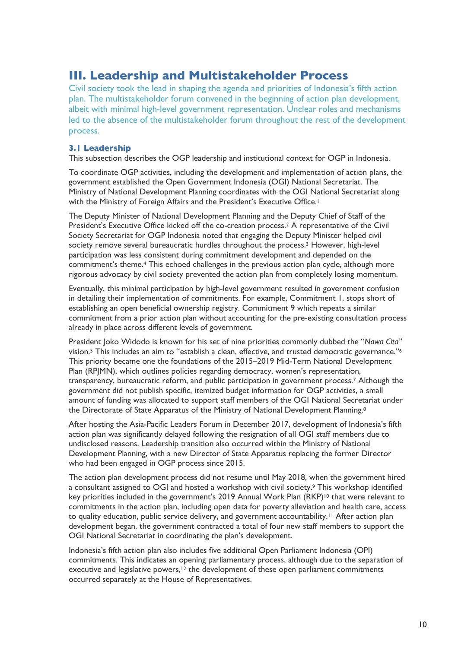## **III. Leadership and Multistakeholder Process**

Civil society took the lead in shaping the agenda and priorities of Indonesia's fifth action plan. The multistakeholder forum convened in the beginning of action plan development, albeit with minimal high-level government representation. Unclear roles and mechanisms led to the absence of the multistakeholder forum throughout the rest of the development process.

## **3.1 Leadership**

This subsection describes the OGP leadership and institutional context for OGP in Indonesia.

To coordinate OGP activities, including the development and implementation of action plans, the government established the Open Government Indonesia (OGI) National Secretariat. The Ministry of National Development Planning coordinates with the OGI National Secretariat along with the Ministry of Foreign Affairs and the President's Executive Office.<sup>1</sup>

The Deputy Minister of National Development Planning and the Deputy Chief of Staff of the President's Executive Office kicked off the co-creation process.<sup>2</sup> A representative of the Civil Society Secretariat for OGP Indonesia noted that engaging the Deputy Minister helped civil society remove several bureaucratic hurdles throughout the process.<sup>3</sup> However, high-level participation was less consistent during commitment development and depended on the commitment's theme.4 This echoed challenges in the previous action plan cycle, although more rigorous advocacy by civil society prevented the action plan from completely losing momentum.

Eventually, this minimal participation by high-level government resulted in government confusion in detailing their implementation of commitments. For example, Commitment 1, stops short of establishing an open beneficial ownership registry. Commitment 9 which repeats a similar commitment from a prior action plan without accounting for the pre-existing consultation process already in place across different levels of government.

President Joko Widodo is known for his set of nine priorities commonly dubbed the "*Nawa Cita"* vision.<sup>5</sup> This includes an aim to "establish a clean, effective, and trusted democratic governance."<sup>6</sup> This priority became one the foundations of the 2015–2019 Mid-Term National Development Plan (RPJMN), which outlines policies regarding democracy, women's representation, transparency, bureaucratic reform, and public participation in government process.7 Although the government did not publish specific, itemized budget information for OGP activities, a small amount of funding was allocated to support staff members of the OGI National Secretariat under the Directorate of State Apparatus of the Ministry of National Development Planning.<sup>8</sup>

After hosting the Asia-Pacific Leaders Forum in December 2017, development of Indonesia's fifth action plan was significantly delayed following the resignation of all OGI staff members due to undisclosed reasons. Leadership transition also occurred within the Ministry of National Development Planning, with a new Director of State Apparatus replacing the former Director who had been engaged in OGP process since 2015.

The action plan development process did not resume until May 2018, when the government hired a consultant assigned to OGI and hosted a workshop with civil society.<sup>9</sup> This workshop identified key priorities included in the government's 2019 Annual Work Plan  $(RKP)^{10}$  that were relevant to commitments in the action plan, including open data for poverty alleviation and health care, access to quality education, public service delivery, and government accountability.<sup>11</sup> After action plan development began, the government contracted a total of four new staff members to support the OGI National Secretariat in coordinating the plan's development.

Indonesia's fifth action plan also includes five additional Open Parliament Indonesia (OPI) commitments. This indicates an opening parliamentary process, although due to the separation of executive and legislative powers,<sup>12</sup> the development of these open parliament commitments occurred separately at the House of Representatives.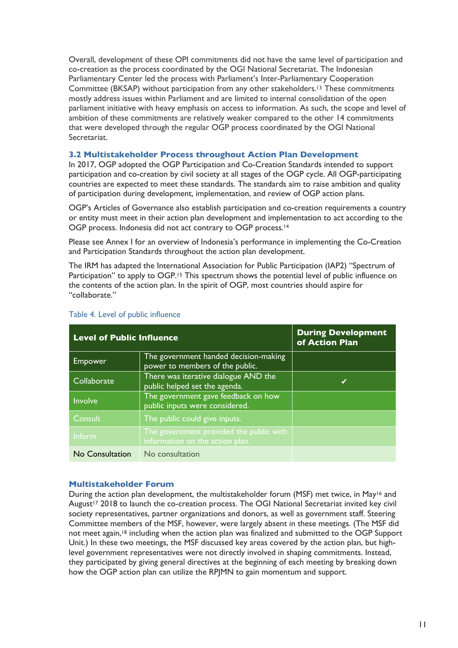Overall, development of these OPI commitments did not have the same level of participation and co-creation as the process coordinated by the OGI National Secretariat. The Indonesian Parliamentary Center led the process with Parliament's Inter-Parliamentary Cooperation Committee (BKSAP) without participation from any other stakeholders. <sup>13</sup> These commitments mostly address issues within Parliament and are limited to internal consolidation of the open parliament initiative with heavy emphasis on access to information. As such, the scope and level of ambition of these commitments are relatively weaker compared to the other 14 commitments that were developed through the regular OGP process coordinated by the OGI National Secretariat.

## **3.2 Multistakeholder Process throughout Action Plan Development**

In 2017, OGP adopted the OGP Participation and Co-Creation Standards intended to support participation and co-creation by civil society at all stages of the OGP cycle. All OGP-participating countries are expected to meet these standards. The standards aim to raise ambition and quality of participation during development, implementation, and review of OGP action plans.

OGP's Articles of Governance also establish participation and co-creation requirements a country or entity must meet in their action plan development and implementation to act according to the OGP process. Indonesia did not act contrary to OGP process.14

Please see Annex I for an overview of Indonesia's performance in implementing the Co-Creation and Participation Standards throughout the action plan development.

The IRM has adapted the International Association for Public Participation (IAP2) "Spectrum of Participation" to apply to OGP.<sup>15</sup> This spectrum shows the potential level of public influence on the contents of the action plan. In the spirit of OGP, most countries should aspire for "collaborate."

| <b>Level of Public Influence</b> | <b>During Development</b><br>of Action Plan                                |   |
|----------------------------------|----------------------------------------------------------------------------|---|
| <b>Empower</b>                   | The government handed decision-making<br>power to members of the public.   |   |
| Collaborate                      | There was iterative dialogue AND the<br>public helped set the agenda.      | ✔ |
| Involve                          | The government gave feedback on how<br>public inputs were considered.      |   |
| Consult                          | The public could give inputs.                                              |   |
| Inform                           | The government provided the public with<br>information on the action plan. |   |
| No Consultation                  | No consultation                                                            |   |

## Table 4. Level of public influence

## **Multistakeholder Forum**

During the action plan development, the multistakeholder forum (MSF) met twice, in May<sup>16</sup> and August<sup>17</sup> 2018 to launch the co-creation process. The OGI National Secretariat invited key civil society representatives, partner organizations and donors, as well as government staff. Steering Committee members of the MSF, however, were largely absent in these meetings. (The MSF did not meet again, <sup>18</sup> including when the action plan was finalized and submitted to the OGP Support Unit.) In these two meetings, the MSF discussed key areas covered by the action plan, but highlevel government representatives were not directly involved in shaping commitments. Instead, they participated by giving general directives at the beginning of each meeting by breaking down how the OGP action plan can utilize the RPJMN to gain momentum and support.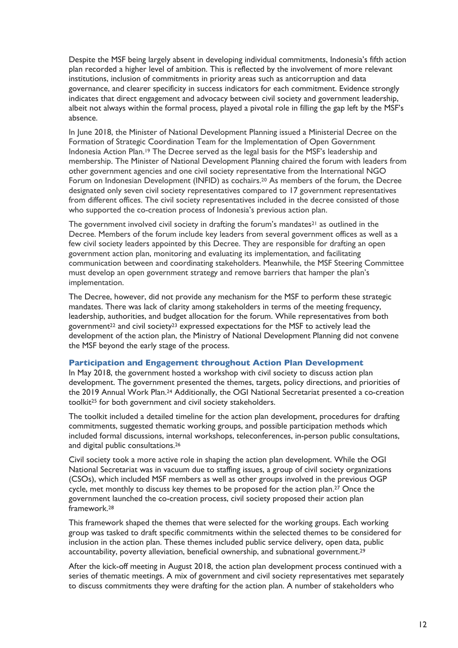Despite the MSF being largely absent in developing individual commitments, Indonesia's fifth action plan recorded a higher level of ambition. This is reflected by the involvement of more relevant institutions, inclusion of commitments in priority areas such as anticorruption and data governance, and clearer specificity in success indicators for each commitment. Evidence strongly indicates that direct engagement and advocacy between civil society and government leadership, albeit not always within the formal process, played a pivotal role in filling the gap left by the MSF's absence.

In June 2018, the Minister of National Development Planning issued a Ministerial Decree on the Formation of Strategic Coordination Team for the Implementation of Open Government Indonesia Action Plan.19 The Decree served as the legal basis for the MSF's leadership and membership. The Minister of National Development Planning chaired the forum with leaders from other government agencies and one civil society representative from the International NGO Forum on Indonesian Development (INFID) as cochairs.<sup>20</sup> As members of the forum, the Decree designated only seven civil society representatives compared to 17 government representatives from different offices. The civil society representatives included in the decree consisted of those who supported the co-creation process of Indonesia's previous action plan.

The government involved civil society in drafting the forum's mandates<sup>21</sup> as outlined in the Decree. Members of the forum include key leaders from several government offices as well as a few civil society leaders appointed by this Decree. They are responsible for drafting an open government action plan, monitoring and evaluating its implementation, and facilitating communication between and coordinating stakeholders. Meanwhile, the MSF Steering Committee must develop an open government strategy and remove barriers that hamper the plan's implementation.

The Decree, however, did not provide any mechanism for the MSF to perform these strategic mandates. There was lack of clarity among stakeholders in terms of the meeting frequency, leadership, authorities, and budget allocation for the forum. While representatives from both government<sup>22</sup> and civil society<sup>23</sup> expressed expectations for the MSF to actively lead the development of the action plan, the Ministry of National Development Planning did not convene the MSF beyond the early stage of the process.

#### **Participation and Engagement throughout Action Plan Development**

In May 2018, the government hosted a workshop with civil society to discuss action plan development. The government presented the themes, targets, policy directions, and priorities of the 2019 Annual Work Plan.24 Additionally, the OGI National Secretariat presented a co-creation toolkit25 for both government and civil society stakeholders.

The toolkit included a detailed timeline for the action plan development, procedures for drafting commitments, suggested thematic working groups, and possible participation methods which included formal discussions, internal workshops, teleconferences, in-person public consultations, and digital public consultations.26

Civil society took a more active role in shaping the action plan development. While the OGI National Secretariat was in vacuum due to staffing issues, a group of civil society organizations (CSOs), which included MSF members as well as other groups involved in the previous OGP cycle, met monthly to discuss key themes to be proposed for the action plan.<sup>27</sup> Once the government launched the co-creation process, civil society proposed their action plan framework.28

This framework shaped the themes that were selected for the working groups. Each working group was tasked to draft specific commitments within the selected themes to be considered for inclusion in the action plan. These themes included public service delivery, open data, public accountability, poverty alleviation, beneficial ownership, and subnational government.<sup>29</sup>

After the kick-off meeting in August 2018, the action plan development process continued with a series of thematic meetings. A mix of government and civil society representatives met separately to discuss commitments they were drafting for the action plan. A number of stakeholders who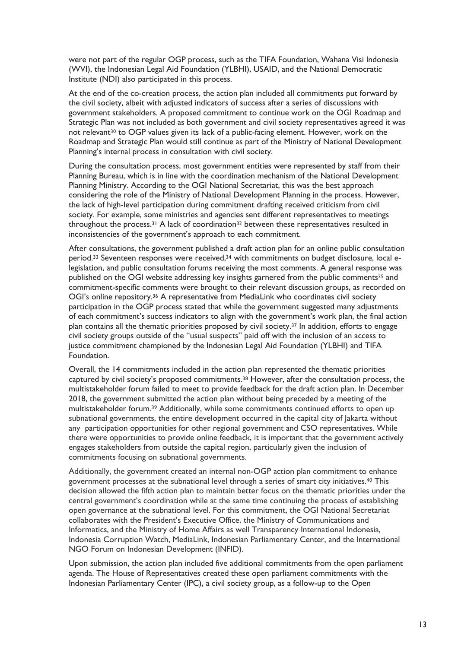were not part of the regular OGP process, such as the TIFA Foundation, Wahana Visi Indonesia (WVI), the Indonesian Legal Aid Foundation (YLBHI), USAID, and the National Democratic Institute (NDI) also participated in this process.

At the end of the co-creation process, the action plan included all commitments put forward by the civil society, albeit with adjusted indicators of success after a series of discussions with government stakeholders. A proposed commitment to continue work on the OGI Roadmap and Strategic Plan was not included as both government and civil society representatives agreed it was not relevant<sup>30</sup> to OGP values given its lack of a public-facing element. However, work on the Roadmap and Strategic Plan would still continue as part of the Ministry of National Development Planning's internal process in consultation with civil society.

During the consultation process, most government entities were represented by staff from their Planning Bureau, which is in line with the coordination mechanism of the National Development Planning Ministry. According to the OGI National Secretariat, this was the best approach considering the role of the Ministry of National Development Planning in the process. However, the lack of high-level participation during commitment drafting received criticism from civil society. For example, some ministries and agencies sent different representatives to meetings throughout the process.<sup>31</sup> A lack of coordination<sup>32</sup> between these representatives resulted in inconsistencies of the government's approach to each commitment.

After consultations, the government published a draft action plan for an online public consultation period.<sup>33</sup> Seventeen responses were received,<sup>34</sup> with commitments on budget disclosure, local elegislation, and public consultation forums receiving the most comments. A general response was published on the OGI website addressing key insights garnered from the public comments<sup>35</sup> and commitment-specific comments were brought to their relevant discussion groups, as recorded on OGI's online repository.<sup>36</sup> A representative from MediaLink who coordinates civil society participation in the OGP process stated that while the government suggested many adjustments of each commitment's success indicators to align with the government's work plan, the final action plan contains all the thematic priorities proposed by civil society.37 In addition, efforts to engage civil society groups outside of the "usual suspects" paid off with the inclusion of an access to justice commitment championed by the Indonesian Legal Aid Foundation (YLBHI) and TIFA Foundation.

Overall, the 14 commitments included in the action plan represented the thematic priorities captured by civil society's proposed commitments.38 However, after the consultation process, the multistakeholder forum failed to meet to provide feedback for the draft action plan. In December 2018, the government submitted the action plan without being preceded by a meeting of the multistakeholder forum.39 Additionally, while some commitments continued efforts to open up subnational governments, the entire development occurred in the capital city of Jakarta without any participation opportunities for other regional government and CSO representatives. While there were opportunities to provide online feedback, it is important that the government actively engages stakeholders from outside the capital region, particularly given the inclusion of commitments focusing on subnational governments.

Additionally, the government created an internal non-OGP action plan commitment to enhance government processes at the subnational level through a series of smart city initiatives.40 This decision allowed the fifth action plan to maintain better focus on the thematic priorities under the central government's coordination while at the same time continuing the process of establishing open governance at the subnational level. For this commitment, the OGI National Secretariat collaborates with the President's Executive Office, the Ministry of Communications and Informatics, and the Ministry of Home Affairs as well Transparency International Indonesia, Indonesia Corruption Watch, MediaLink, Indonesian Parliamentary Center, and the International NGO Forum on Indonesian Development (INFID).

Upon submission, the action plan included five additional commitments from the open parliament agenda. The House of Representatives created these open parliament commitments with the Indonesian Parliamentary Center (IPC), a civil society group, as a follow-up to the Open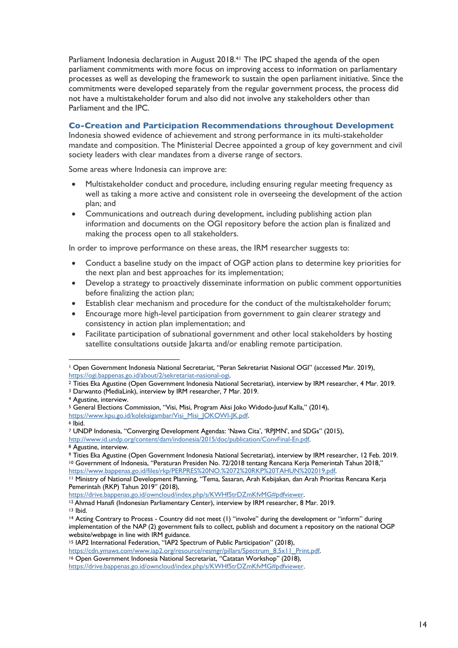Parliament Indonesia declaration in August 2018.<sup>41</sup> The IPC shaped the agenda of the open parliament commitments with more focus on improving access to information on parliamentary processes as well as developing the framework to sustain the open parliament initiative. Since the commitments were developed separately from the regular government process, the process did not have a multistakeholder forum and also did not involve any stakeholders other than Parliament and the IPC.

## **Co-Creation and Participation Recommendations throughout Development**

Indonesia showed evidence of achievement and strong performance in its multi-stakeholder mandate and composition. The Ministerial Decree appointed a group of key government and civil society leaders with clear mandates from a diverse range of sectors.

Some areas where Indonesia can improve are:

- Multistakeholder conduct and procedure, including ensuring regular meeting frequency as well as taking a more active and consistent role in overseeing the development of the action plan; and
- Communications and outreach during development, including publishing action plan information and documents on the OGI repository before the action plan is finalized and making the process open to all stakeholders.

In order to improve performance on these areas, the IRM researcher suggests to:

- Conduct a baseline study on the impact of OGP action plans to determine key priorities for the next plan and best approaches for its implementation;
- Develop a strategy to proactively disseminate information on public comment opportunities before finalizing the action plan;
- Establish clear mechanism and procedure for the conduct of the multistakeholder forum;
- Encourage more high-level participation from government to gain clearer strategy and consistency in action plan implementation; and
- Facilitate participation of subnational government and other local stakeholders by hosting satellite consultations outside Jakarta and/or enabling remote participation.

https://cdn.ymaws.com/www.iap2.org/resource/resmgr/pillars/Spectrum\_8.5x11\_Print.pdf.

<sup>1</sup> Open Government Indonesia National Secretariat, "Peran Sekretariat Nasional OGI" (accessed Mar. 2019), https://ogi.bappenas.go.id/about/2/sekretariat-nasional-ogi.

<sup>2</sup> Tities Eka Agustine (Open Government Indonesia National Secretariat), interview by IRM researcher, 4 Mar. 2019. <sup>3</sup> Darwanto (MediaLink), interview by IRM researcher, 7 Mar. 2019.

<sup>4</sup> Agustine, interview.

<sup>5</sup> General Elections Commission, "Visi, Misi, Program Aksi Joko Widodo-Jusuf Kalla," (2014), https://www.kpu.go.id/koleksigambar/Visi\_Misi\_JOKOWI-JK.pdf.

<sup>6</sup> Ibid.

<sup>7</sup> UNDP Indonesia, "Converging Development Agendas: 'Nawa Cita', 'RPJMN', and SDGs" (2015), http://www.id.undp.org/content/dam/indonesia/2015/doc/publication/ConvFinal-En.pdf.

<sup>8</sup> Agustine, interview.

<sup>9</sup> Tities Eka Agustine (Open Government Indonesia National Secretariat), interview by IRM researcher, 12 Feb. 2019. <sup>10</sup> Government of Indonesia, "Peraturan Presiden No. 72/2018 tentang Rencana Kerja Pemerintah Tahun 2018," https://www.bappenas.go.id/files/rkp/PERPRES%20NO.%2072%20RKP%20TAHUN%202019.pdf.

<sup>11</sup> Ministry of National Development Planning, "Tema, Sasaran, Arah Kebijakan, dan Arah Prioritas Rencana Kerja Pemerintah (RKP) Tahun 2019" (2018),

https://drive.bappenas.go.id/owncloud/index.php/s/KWHf5trDZmKfvMG#pdfviewer.

<sup>12</sup> Ahmad Hanafi (Indonesian Parliamentary Center), interview by IRM researcher, 8 Mar. 2019. <sup>13</sup> Ibid.

<sup>14</sup> Acting Contrary to Process - Country did not meet (1) "involve" during the development or "inform" during implementation of the NAP (2) government fails to collect, publish and document a repository on the national OGP website/webpage in line with IRM guidance.

<sup>15</sup> IAP2 International Federation, "IAP2 Spectrum of Public Participation" (2018),

<sup>16</sup> Open Government Indonesia National Secretariat, "Catatan Workshop" (2018),

https://drive.bappenas.go.id/owncloud/index.php/s/KWHf5trDZmKfvMG#pdfviewer.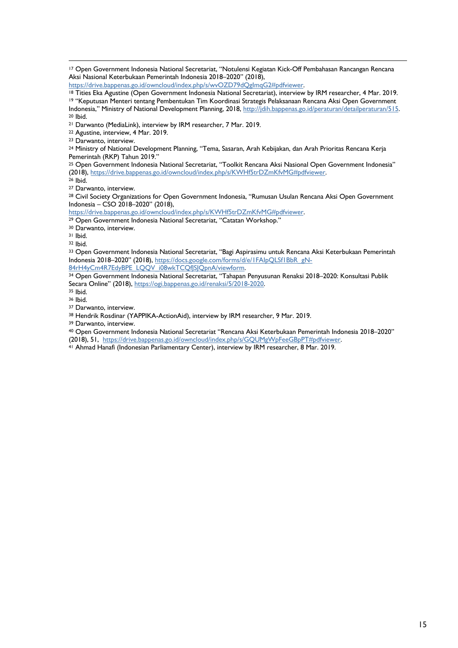Open Government Indonesia National Secretariat, "Notulensi Kegiatan Kick-Off Pembahasan Rancangan Rencana Aksi Nasional Keterbukaan Pemerintah Indonesia 2018–2020" (2018),

https://drive.bappenas.go.id/owncloud/index.php/s/wvOZD79dQgImqG2#pdfviewer.

 Tities Eka Agustine (Open Government Indonesia National Secretariat), interview by IRM researcher, 4 Mar. 2019. "Keputusan Menteri tentang Pembentukan Tim Koordinasi Strategis Pelaksanaan Rencana Aksi Open Government

Indonesia," Ministry of National Development Planning, 2018, http://jdih.bappenas.go.id/peraturan/detailperaturan/515. Ibid.

Darwanto (MediaLink), interview by IRM researcher, 7 Mar. 2019.

Agustine, interview, 4 Mar. 2019.

Darwanto, interview.

 Ministry of National Development Planning, "Tema, Sasaran, Arah Kebijakan, dan Arah Prioritas Rencana Kerja Pemerintah (RKP) Tahun 2019."

 Open Government Indonesia National Secretariat, "Toolkit Rencana Aksi Nasional Open Government Indonesia" (2018), https://drive.bappenas.go.id/owncloud/index.php/s/KWHf5trDZmKfvMG#pdfviewer.

Ibid.

Darwanto, interview.

 Civil Society Organizations for Open Government Indonesia, "Rumusan Usulan Rencana Aksi Open Government Indonesia – CSO 2018–2020" (2018),

https://drive.bappenas.go.id/owncloud/index.php/s/KWHf5trDZmKfvMG#pdfviewer.

Open Government Indonesia National Secretariat, "Catatan Workshop."

Darwanto, interview.

Ibid.

Ibid.

33 Open Government Indonesia National Secretariat, "Bagi Aspirasimu untuk Rencana Aksi Keterbukaan Pemerintah Indonesia 2018–2020" (2018), https://docs.google.com/forms/d/e/1FAIpQLSf1BbR\_gN-

84rH4yCm4R7EdyBPE\_LQQV\_i08wkTCQf|SJQpnA/viewform.

<sup>34</sup> Open Government Indonesia National Secretariat, "Tahapan Penyusunan Renaksi 2018–2020: Konsultasi Publik Secara Online" (2018), https://ogi.bappenas.go.id/renaksi/5/2018-2020.

Ibid.

Ibid.

Darwanto, interview.

Hendrik Rosdinar (YAPPIKA-ActionAid), interview by IRM researcher, 9 Mar. 2019.

Darwanto, interview.

Open Government Indonesia National Secretariat "Rencana Aksi Keterbukaan Pemerintah Indonesia 2018–2020"

(2018), 51, https://drive.bappenas.go.id/owncloud/index.php/s/GQUMgWpFeeGBpPT#pdfviewer.

Ahmad Hanafi (Indonesian Parliamentary Center), interview by IRM researcher, 8 Mar. 2019.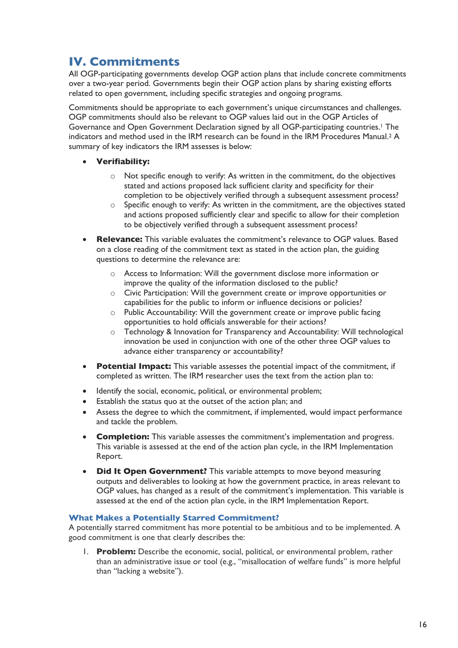## **IV. Commitments**

All OGP-participating governments develop OGP action plans that include concrete commitments over a two-year period. Governments begin their OGP action plans by sharing existing efforts related to open government, including specific strategies and ongoing programs.

Commitments should be appropriate to each government's unique circumstances and challenges. OGP commitments should also be relevant to OGP values laid out in the OGP Articles of Governance and Open Government Declaration signed by all OGP-participating countries.1 The indicators and method used in the IRM research can be found in the IRM Procedures Manual.2 A summary of key indicators the IRM assesses is below:

- **Verifiability:**
	- o Not specific enough to verify: As written in the commitment, do the objectives stated and actions proposed lack sufficient clarity and specificity for their completion to be objectively verified through a subsequent assessment process?
	- $\circ$  Specific enough to verify: As written in the commitment, are the objectives stated and actions proposed sufficiently clear and specific to allow for their completion to be objectively verified through a subsequent assessment process?
- **Relevance:** This variable evaluates the commitment's relevance to OGP values. Based on a close reading of the commitment text as stated in the action plan, the guiding questions to determine the relevance are:
	- o Access to Information: Will the government disclose more information or improve the quality of the information disclosed to the public?
	- o Civic Participation: Will the government create or improve opportunities or capabilities for the public to inform or influence decisions or policies?
	- o Public Accountability: Will the government create or improve public facing opportunities to hold officials answerable for their actions?
	- o Technology & Innovation for Transparency and Accountability: Will technological innovation be used in conjunction with one of the other three OGP values to advance either transparency or accountability?
- **Potential Impact:** This variable assesses the potential impact of the commitment, if completed as written. The IRM researcher uses the text from the action plan to:
- Identify the social, economic, political, or environmental problem;
- Establish the status quo at the outset of the action plan; and
- Assess the degree to which the commitment, if implemented, would impact performance and tackle the problem.
- **Completion:** This variable assesses the commitment's implementation and progress. This variable is assessed at the end of the action plan cycle, in the IRM Implementation Report.
- **Did It Open Government?** This variable attempts to move beyond measuring outputs and deliverables to looking at how the government practice, in areas relevant to OGP values, has changed as a result of the commitment's implementation. This variable is assessed at the end of the action plan cycle, in the IRM Implementation Report.

## **What Makes a Potentially Starred Commitment?**

A potentially starred commitment has more potential to be ambitious and to be implemented. A good commitment is one that clearly describes the:

1. **Problem:** Describe the economic, social, political, or environmental problem, rather than an administrative issue or tool (e.g., "misallocation of welfare funds" is more helpful than "lacking a website").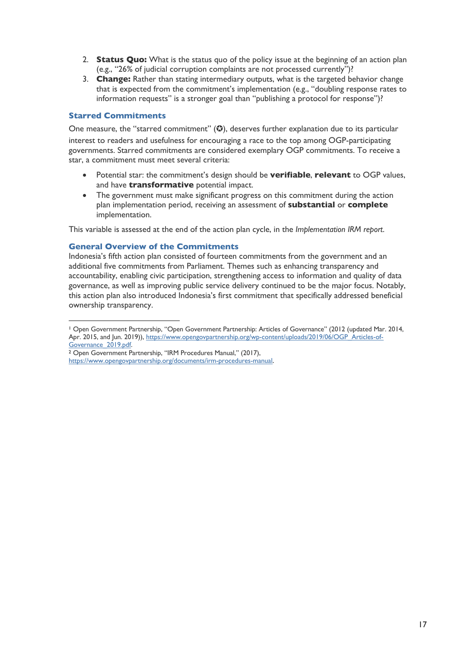- 2. **Status Quo:** What is the status quo of the policy issue at the beginning of an action plan (e.g., "26% of judicial corruption complaints are not processed currently")?
- 3. **Change:** Rather than stating intermediary outputs, what is the targeted behavior change that is expected from the commitment's implementation (e.g., "doubling response rates to information requests" is a stronger goal than "publishing a protocol for response")?

## **Starred Commitments**

One measure, the "starred commitment"  $\circledA$ , deserves further explanation due to its particular interest to readers and usefulness for encouraging a race to the top among OGP-participating governments. Starred commitments are considered exemplary OGP commitments. To receive a star, a commitment must meet several criteria:

- Potential star: the commitment's design should be **verifiable**, **relevant** to OGP values, and have **transformative** potential impact.
- The government must make significant progress on this commitment during the action plan implementation period, receiving an assessment of **substantial** or **complete** implementation.

This variable is assessed at the end of the action plan cycle, in the *Implementation IRM report*.

## **General Overview of the Commitments**

Indonesia's fifth action plan consisted of fourteen commitments from the government and an additional five commitments from Parliament. Themes such as enhancing transparency and accountability, enabling civic participation, strengthening access to information and quality of data governance, as well as improving public service delivery continued to be the major focus. Notably, this action plan also introduced Indonesia's first commitment that specifically addressed beneficial ownership transparency.

<sup>1</sup> Open Government Partnership, "Open Government Partnership: Articles of Governance" (2012 (updated Mar. 2014, Apr. 2015, and Jun. 2019)), https://www.opengovpartnership.org/wp-content/uploads/2019/06/OGP\_Articles-of-Governance\_2019.pdf.

<sup>2</sup> Open Government Partnership, "IRM Procedures Manual," (2017),

https://www.opengovpartnership.org/documents/irm-procedures-manual.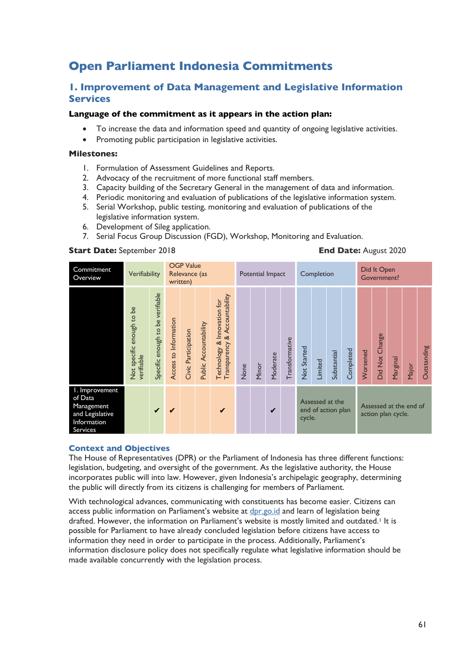## **Open Parliament Indonesia Commitments**

## **1. Improvement of Data Management and Legislative Information Services**

## **Language of the commitment as it appears in the action plan:**

- To increase the data and information speed and quantity of ongoing legislative activities.
- Promoting public participation in legislative activities.

## **Milestones:**

- 1. Formulation of Assessment Guidelines and Reports.
- 2. Advocacy of the recruitment of more functional staff members.
- 3. Capacity building of the Secretary General in the management of data and information.
- 4. Periodic monitoring and evaluation of publications of the legislative information system.
- 5. Serial Workshop, public testing, monitoring and evaluation of publications of the legislative information system.
- 6. Development of Sileg application.
- 7. Serial Focus Group Discussion (FGD), Workshop, Monitoring and Evaluation.

#### **Start Date:** September 2018 **End Date:** August 2020

| Commitment<br>Overview                                                                | Verifiability                           |                                  |                       | <b>OGP Value</b><br>Relevance (as<br>written) |                       |                                                              |      | Potential Impact |          |                |                                                                                                 | Completion |             |           | Did It Open<br>Government? |                |          |       |             |  |
|---------------------------------------------------------------------------------------|-----------------------------------------|----------------------------------|-----------------------|-----------------------------------------------|-----------------------|--------------------------------------------------------------|------|------------------|----------|----------------|-------------------------------------------------------------------------------------------------|------------|-------------|-----------|----------------------------|----------------|----------|-------|-------------|--|
|                                                                                       | Not specific enough to be<br>verifiable | Specific enough to be verifiable | Access to Information | Civic Participation                           | Public Accountability | Transparency & Accountability<br>Technology & Innovation for | None | Minor            | Moderate | Transformative | Not Started                                                                                     | Limited    | Substantial | Completed | Worsened                   | Did Not Change | Marginal | Major | Outstanding |  |
| I. Improvement<br>of Data<br>Management<br>and Legislative<br>Information<br>Services |                                         | $\checkmark$                     | ✔                     |                                               |                       | $\checkmark$                                                 |      |                  | ✔        |                | Assessed at the<br>Assessed at the end of<br>end of action plan<br>action plan cycle.<br>cycle. |            |             |           |                            |                |          |       |             |  |

#### **Context and Objectives**

The House of Representatives (DPR) or the Parliament of Indonesia has three different functions: legislation, budgeting, and oversight of the government. As the legislative authority, the House incorporates public will into law. However, given Indonesia's archipelagic geography, determining the public will directly from its citizens is challenging for members of Parliament.

With technological advances, communicating with constituents has become easier. Citizens can access public information on Parliament's website at dpr.go.id and learn of legislation being drafted. However, the information on Parliament's website is mostly limited and outdated.<sup>1</sup> It is possible for Parliament to have already concluded legislation before citizens have access to information they need in order to participate in the process. Additionally, Parliament's information disclosure policy does not specifically regulate what legislative information should be made available concurrently with the legislation process.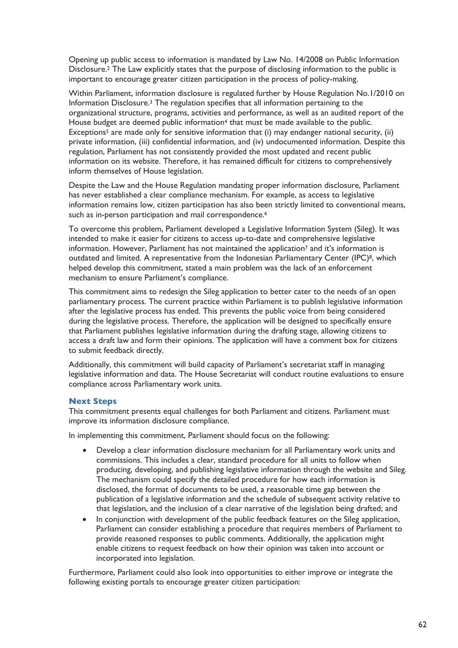Opening up public access to information is mandated by Law No. 14/2008 on Public Information Disclosure. <sup>2</sup> The Law explicitly states that the purpose of disclosing information to the public is important to encourage greater citizen participation in the process of policy-making.

Within Parliament, information disclosure is regulated further by House Regulation No.1/2010 on Information Disclosure.3 The regulation specifies that all information pertaining to the organizational structure, programs, activities and performance, as well as an audited report of the House budget are deemed public information<sup>4</sup> that must be made available to the public. Exceptions<sup>5</sup> are made only for sensitive information that  $(i)$  may endanger national security,  $(ii)$ private information, (iii) confidential information, and (iv) undocumented information. Despite this regulation, Parliament has not consistently provided the most updated and recent public information on its website. Therefore, it has remained difficult for citizens to comprehensively inform themselves of House legislation.

Despite the Law and the House Regulation mandating proper information disclosure, Parliament has never established a clear compliance mechanism. For example, as access to legislative information remains low, citizen participation has also been strictly limited to conventional means, such as in-person participation and mail correspondence.<sup>6</sup>

To overcome this problem, Parliament developed a Legislative Information System (Sileg). It was intended to make it easier for citizens to access up-to-date and comprehensive legislative information. However, Parliament has not maintained the application<sup>7</sup> and it's information is outdated and limited. A representative from the Indonesian Parliamentary Center (IPC)8, which helped develop this commitment, stated a main problem was the lack of an enforcement mechanism to ensure Parliament's compliance.

This commitment aims to redesign the Sileg application to better cater to the needs of an open parliamentary process. The current practice within Parliament is to publish legislative information after the legislative process has ended. This prevents the public voice from being considered during the legislative process. Therefore, the application will be designed to specifically ensure that Parliament publishes legislative information during the drafting stage, allowing citizens to access a draft law and form their opinions. The application will have a comment box for citizens to submit feedback directly.

Additionally, this commitment will build capacity of Parliament's secretariat staff in managing legislative information and data. The House Secretariat will conduct routine evaluations to ensure compliance across Parliamentary work units.

## **Next Steps**

This commitment presents equal challenges for both Parliament and citizens. Parliament must improve its information disclosure compliance.

In implementing this commitment, Parliament should focus on the following:

- Develop a clear information disclosure mechanism for all Parliamentary work units and commissions. This includes a clear, standard procedure for all units to follow when producing, developing, and publishing legislative information through the website and Sileg. The mechanism could specify the detailed procedure for how each information is disclosed, the format of documents to be used, a reasonable time gap between the publication of a legislative information and the schedule of subsequent activity relative to that legislation, and the inclusion of a clear narrative of the legislation being drafted; and
- In conjunction with development of the public feedback features on the Sileg application, Parliament can consider establishing a procedure that requires members of Parliament to provide reasoned responses to public comments. Additionally, the application might enable citizens to request feedback on how their opinion was taken into account or incorporated into legislation.

Furthermore, Parliament could also look into opportunities to either improve or integrate the following existing portals to encourage greater citizen participation: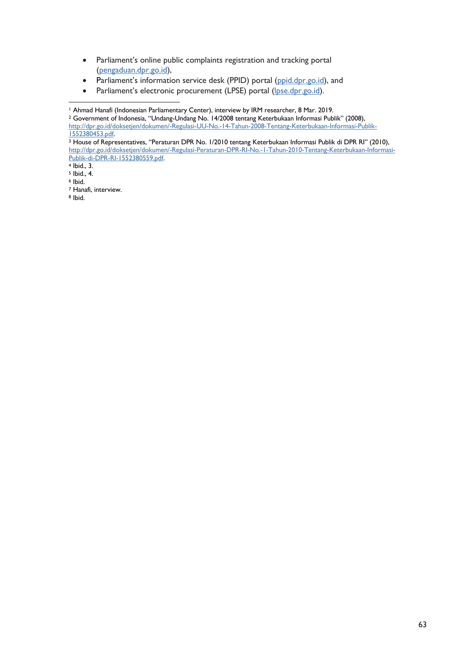- Parliament's online public complaints registration and tracking portal (pengaduan.dpr.go.id),
- Parliament's information service desk (PPID) portal (ppid.dpr.go.id), and
- Parliament's electronic procurement (LPSE) portal (lpse.dpr.go.id).

<sup>2</sup> Government of Indonesia, "Undang-Undang No. 14/2008 tentang Keterbukaan Informasi Publik" (2008), http://dpr.go.id/doksetjen/dokumen/-Regulasi-UU-No.-14-Tahun-2008-Tentang-Keterbukaan-Informasi-Publik-1552380453.pdf.

<sup>3</sup> House of Representatives, "Peraturan DPR No. 1/2010 tentang Keterbukaan Informasi Publik di DPR RI" (2010), http://dpr.go.id/doksetjen/dokumen/-Regulasi-Peraturan-DPR-RI-No.-1-Tahun-2010-Tentang-Keterbukaan-Informasi-Publik-di-DPR-RI-1552380559.pdf.

 $5$  Ibid., 4.

<sup>7</sup> Hanafi, interview.

<sup>8</sup> Ibid.

<sup>1</sup> Ahmad Hanafi (Indonesian Parliamentary Center), interview by IRM researcher, 8 Mar. 2019.

<sup>4</sup> Ibid., 3.

<sup>6</sup> Ibid.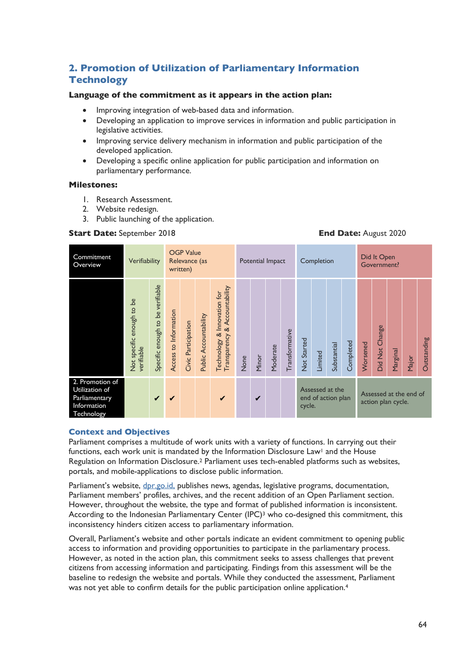## **2. Promotion of Utilization of Parliamentary Information Technology**

## **Language of the commitment as it appears in the action plan:**

- Improving integration of web-based data and information.
- Developing an application to improve services in information and public participation in legislative activities.
- Improving service delivery mechanism in information and public participation of the developed application.
- Developing a specific online application for public participation and information on parliamentary performance.

## **Milestones:**

- 1. Research Assessment.
- 2. Website redesign.
- 3. Public launching of the application.

#### **Start Date:** September 2018 **End Date:** August 2020

| Commitment<br>Overview                                                          | <b>OGP Value</b><br>Verifiability<br>Relevance (as<br>written) |                                  |                       |                     |                       |                                                              | Potential Impact |       |          |                | Completion  |         |                                       | Did It Open<br>Government? |          |                |                                              |       |             |
|---------------------------------------------------------------------------------|----------------------------------------------------------------|----------------------------------|-----------------------|---------------------|-----------------------|--------------------------------------------------------------|------------------|-------|----------|----------------|-------------|---------|---------------------------------------|----------------------------|----------|----------------|----------------------------------------------|-------|-------------|
|                                                                                 | Not specific enough to be<br>verifiable                        | Specific enough to be verifiable | Access to Information | Civic Participation | Public Accountability | Transparency & Accountability<br>Technology & Innovation for | None             | Minor | Moderate | Transformative | Not Started | Limited | Substantial                           | Completed                  | Worsened | Did Not Change | Marginal                                     | Major | Outstanding |
| 2. Promotion of<br>Utilization of<br>Parliamentary<br>Information<br>Technology |                                                                | $\checkmark$                     | $\checkmark$          |                     |                       | $\checkmark$                                                 |                  | ✔     |          |                | cycle.      |         | Assessed at the<br>end of action plan |                            |          |                | Assessed at the end of<br>action plan cycle. |       |             |

## **Context and Objectives**

Parliament comprises a multitude of work units with a variety of functions. In carrying out their functions, each work unit is mandated by the Information Disclosure Law<sup>1</sup> and the House Regulation on Information Disclosure.2 Parliament uses tech-enabled platforms such as websites, portals, and mobile-applications to disclose public information.

Parliament's website, dpr.go.id, publishes news, agendas, legislative programs, documentation, Parliament members' profiles, archives, and the recent addition of an Open Parliament section. However, throughout the website, the type and format of published information is inconsistent. According to the Indonesian Parliamentary Center (IPC)<sup>3</sup> who co-designed this commitment, this inconsistency hinders citizen access to parliamentary information.

Overall, Parliament's website and other portals indicate an evident commitment to opening public access to information and providing opportunities to participate in the parliamentary process. However, as noted in the action plan, this commitment seeks to assess challenges that prevent citizens from accessing information and participating. Findings from this assessment will be the baseline to redesign the website and portals. While they conducted the assessment, Parliament was not yet able to confirm details for the public participation online application.<sup>4</sup>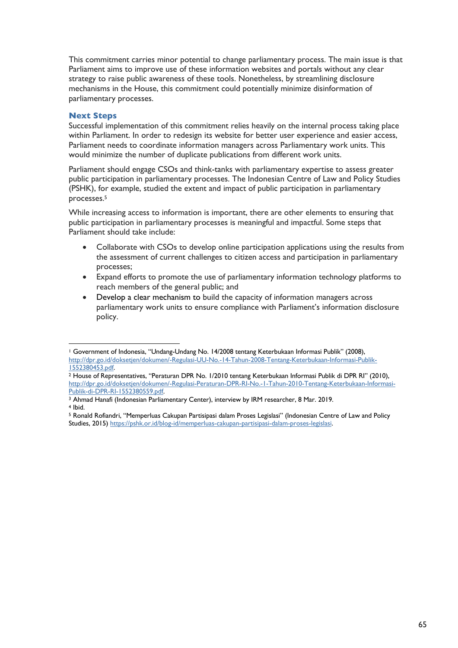This commitment carries minor potential to change parliamentary process. The main issue is that Parliament aims to improve use of these information websites and portals without any clear strategy to raise public awareness of these tools. Nonetheless, by streamlining disclosure mechanisms in the House, this commitment could potentially minimize disinformation of parliamentary processes.

## **Next Steps**

Successful implementation of this commitment relies heavily on the internal process taking place within Parliament. In order to redesign its website for better user experience and easier access, Parliament needs to coordinate information managers across Parliamentary work units. This would minimize the number of duplicate publications from different work units.

Parliament should engage CSOs and think-tanks with parliamentary expertise to assess greater public participation in parliamentary processes. The Indonesian Centre of Law and Policy Studies (PSHK), for example, studied the extent and impact of public participation in parliamentary processes. 5

While increasing access to information is important, there are other elements to ensuring that public participation in parliamentary processes is meaningful and impactful. Some steps that Parliament should take include:

- Collaborate with CSOs to develop online participation applications using the results from the assessment of current challenges to citizen access and participation in parliamentary processes;
- Expand efforts to promote the use of parliamentary information technology platforms to reach members of the general public; and
- Develop a clear mechanism to build the capacity of information managers across parliamentary work units to ensure compliance with Parliament's information disclosure policy.

<sup>1</sup> Government of Indonesia, "Undang-Undang No. 14/2008 tentang Keterbukaan Informasi Publik" (2008), http://dpr.go.id/doksetjen/dokumen/-Regulasi-UU-No.-14-Tahun-2008-Tentang-Keterbukaan-Informasi-Publik-1552380453.pdf.

<sup>2</sup> House of Representatives, "Peraturan DPR No. 1/2010 tentang Keterbukaan Informasi Publik di DPR RI" (2010), http://dpr.go.id/doksetjen/dokumen/-Regulasi-Peraturan-DPR-RI-No.-1-Tahun-2010-Tentang-Keterbukaan-Informasi-Publik-di-DPR-RI-1552380559.pdf.

<sup>3</sup> Ahmad Hanafi (Indonesian Parliamentary Center), interview by IRM researcher, 8 Mar. 2019. <sup>4</sup> Ibid.

<sup>5</sup> Ronald Rofiandri, "Memperluas Cakupan Partisipasi dalam Proses Legislasi" (Indonesian Centre of Law and Policy Studies, 2015) https://pshk.or.id/blog-id/memperluas-cakupan-partisipasi-dalam-proses-legislasi.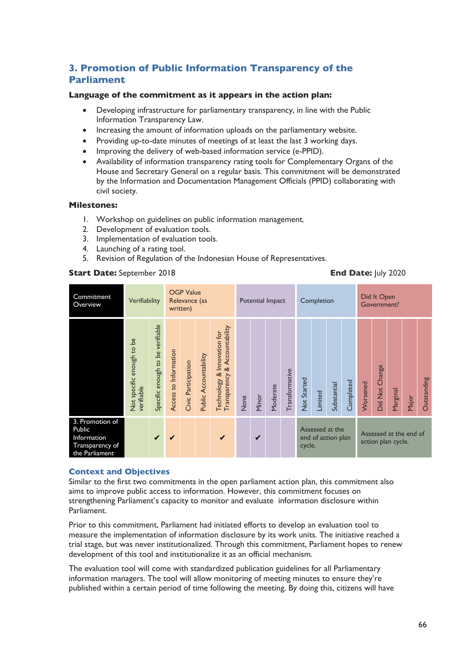## **3. Promotion of Public Information Transparency of the Parliament**

## **Language of the commitment as it appears in the action plan:**

- Developing infrastructure for parliamentary transparency, in line with the Public Information Transparency Law.
- Increasing the amount of information uploads on the parliamentary website.
- Providing up-to-date minutes of meetings of at least the last 3 working days.
- Improving the delivery of web-based information service (e-PPID).
- Availability of information transparency rating tools for Complementary Organs of the House and Secretary General on a regular basis. This commitment will be demonstrated by the Information and Documentation Management Officials (PPID) collaborating with civil society.

## **Milestones:**

- 1. Workshop on guidelines on public information management.
- 2. Development of evaluation tools.
- 3. Implementation of evaluation tools.
- 4. Launching of a rating tool.
- 5. Revision of Regulation of the Indonesian House of Representatives.

## **Start Date:** September 2018 **End Date:** July 2020

| Commitment<br>Overview                                                        | Verifiability                           |                                  |                       | <b>OGP Value</b><br>Relevance (as<br>written) |                       |                                                                 |      | Potential Impact |          |                |                                                 | Completion |             |           | Did It Open<br>Government? |                |                                              |       |             |  |
|-------------------------------------------------------------------------------|-----------------------------------------|----------------------------------|-----------------------|-----------------------------------------------|-----------------------|-----------------------------------------------------------------|------|------------------|----------|----------------|-------------------------------------------------|------------|-------------|-----------|----------------------------|----------------|----------------------------------------------|-------|-------------|--|
|                                                                               | Not specific enough to be<br>verifiable | Specific enough to be verifiable | Access to Information | Civic Participation                           | Public Accountability | & Accountability<br>Technology & Innovation for<br>Transparency | None | Minor            | Moderate | Transformative | Not Started                                     | Limited    | Substantial | Completed | Worsened                   | Did Not Change | Marginal                                     | Major | Outstanding |  |
| 3. Promotion of<br>Public<br>Information<br>Transparency of<br>the Parliament |                                         | $\checkmark$                     | ✔                     |                                               |                       | $\checkmark$                                                    |      | ✔                |          |                | Assessed at the<br>end of action plan<br>cycle. |            |             |           |                            |                | Assessed at the end of<br>action plan cycle. |       |             |  |

## **Context and Objectives**

Similar to the first two commitments in the open parliament action plan, this commitment also aims to improve public access to information. However, this commitment focuses on strengthening Parliament's capacity to monitor and evaluate information disclosure within Parliament.

Prior to this commitment, Parliament had initiated efforts to develop an evaluation tool to measure the implementation of information disclosure by its work units. The initiative reached a trial stage, but was never institutionalized. Through this commitment, Parliament hopes to renew development of this tool and institutionalize it as an official mechanism.

The evaluation tool will come with standardized publication guidelines for all Parliamentary information managers. The tool will allow monitoring of meeting minutes to ensure they're published within a certain period of time following the meeting. By doing this, citizens will have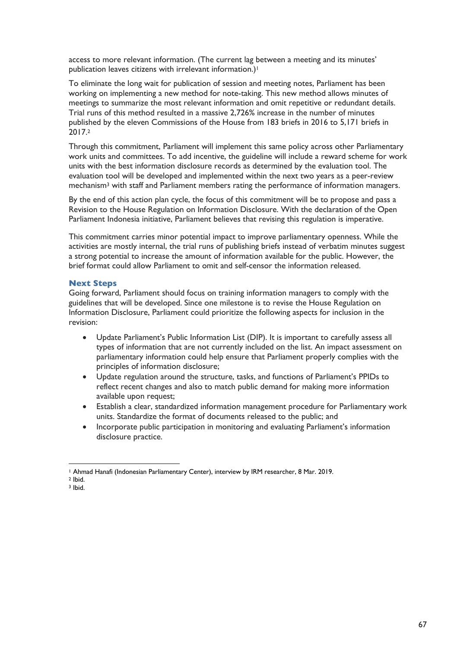access to more relevant information. (The current lag between a meeting and its minutes' publication leaves citizens with irrelevant information.)<sup>1</sup>

To eliminate the long wait for publication of session and meeting notes, Parliament has been working on implementing a new method for note-taking. This new method allows minutes of meetings to summarize the most relevant information and omit repetitive or redundant details. Trial runs of this method resulted in a massive 2,726% increase in the number of minutes published by the eleven Commissions of the House from 183 briefs in 2016 to 5,171 briefs in 2017.2

Through this commitment, Parliament will implement this same policy across other Parliamentary work units and committees. To add incentive, the guideline will include a reward scheme for work units with the best information disclosure records as determined by the evaluation tool. The evaluation tool will be developed and implemented within the next two years as a peer-review mechanism<sup>3</sup> with staff and Parliament members rating the performance of information managers.

By the end of this action plan cycle, the focus of this commitment will be to propose and pass a Revision to the House Regulation on Information Disclosure. With the declaration of the Open Parliament Indonesia initiative, Parliament believes that revising this regulation is imperative.

This commitment carries minor potential impact to improve parliamentary openness. While the activities are mostly internal, the trial runs of publishing briefs instead of verbatim minutes suggest a strong potential to increase the amount of information available for the public. However, the brief format could allow Parliament to omit and self-censor the information released.

## **Next Steps**

Going forward, Parliament should focus on training information managers to comply with the guidelines that will be developed. Since one milestone is to revise the House Regulation on Information Disclosure, Parliament could prioritize the following aspects for inclusion in the revision:

- Update Parliament's Public Information List (DIP). It is important to carefully assess all types of information that are not currently included on the list. An impact assessment on parliamentary information could help ensure that Parliament properly complies with the principles of information disclosure;
- Update regulation around the structure, tasks, and functions of Parliament's PPIDs to reflect recent changes and also to match public demand for making more information available upon request;
- Establish a clear, standardized information management procedure for Parliamentary work units. Standardize the format of documents released to the public; and
- Incorporate public participation in monitoring and evaluating Parliament's information disclosure practice.

<sup>2</sup> Ibid.

<sup>1</sup> Ahmad Hanafi (Indonesian Parliamentary Center), interview by IRM researcher, 8 Mar. 2019.

<sup>3</sup> Ibid.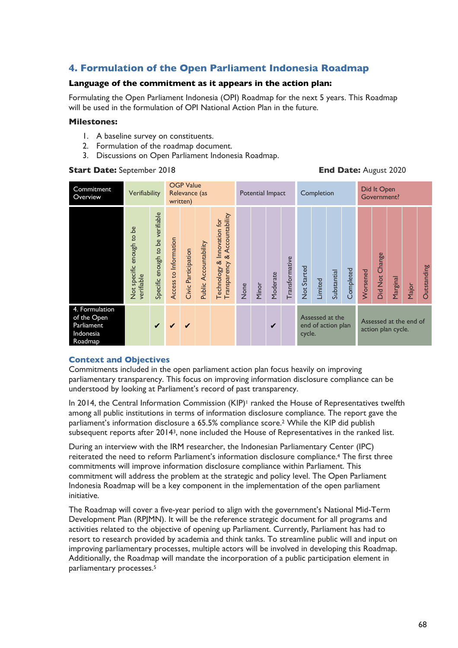## **4. Formulation of the Open Parliament Indonesia Roadmap**

## **Language of the commitment as it appears in the action plan:**

Formulating the Open Parliament Indonesia (OPI) Roadmap for the next 5 years. This Roadmap will be used in the formulation of OPI National Action Plan in the future.

## **Milestones:**

- 1. A baseline survey on constituents.
- 2. Formulation of the roadmap document.
- 3. Discussions on Open Parliament Indonesia Roadmap.

#### OGP Value **Commitment** Potential Impact Completion Did It Open Commitment<br>Overview Verifiability Relevance (as Government? written) Specific enough to be verifiable Specific enough to be verifiable Transparency & Accountability Transparency & Accountability Technology & Innovation for Technology & Innovation for Not specific enough to be Not specific enough to be Access to Information Access to Information Public Accountability Public Accountability Civic Participation Civic Participation Did Not Change Did Not Change Transformative **Transformative Not Started** Outstanding Outstanding Not Started **Completed** Worsened Substantial Worsened Moderate Substantial Moderate verifiable Marginal Limited Minor None Major 4. Formulation of the Open Assessed at the Assessed at the end of ✔ ✔ ✔ ✔ Parliament end of action plan action plan cycle. Indonesia cycle. Roadmap

## **Start Date:** September 2018 **End Date:** August 2020

## **Context and Objectives**

Commitments included in the open parliament action plan focus heavily on improving parliamentary transparency. This focus on improving information disclosure compliance can be understood by looking at Parliament's record of past transparency.

In 2014, the Central Information Commission  $(KIP)^1$  ranked the House of Representatives twelfth among all public institutions in terms of information disclosure compliance. The report gave the parliament's information disclosure a 65.5% compliance score.2 While the KIP did publish subsequent reports after 20143, none included the House of Representatives in the ranked list.

During an interview with the IRM researcher, the Indonesian Parliamentary Center (IPC) reiterated the need to reform Parliament's information disclosure compliance. <sup>4</sup> The first three commitments will improve information disclosure compliance within Parliament. This commitment will address the problem at the strategic and policy level. The Open Parliament Indonesia Roadmap will be a key component in the implementation of the open parliament initiative.

The Roadmap will cover a five-year period to align with the government's National Mid-Term Development Plan (RPJMN). It will be the reference strategic document for all programs and activities related to the objective of opening up Parliament. Currently, Parliament has had to resort to research provided by academia and think tanks. To streamline public will and input on improving parliamentary processes, multiple actors will be involved in developing this Roadmap. Additionally, the Roadmap will mandate the incorporation of a public participation element in parliamentary processes.5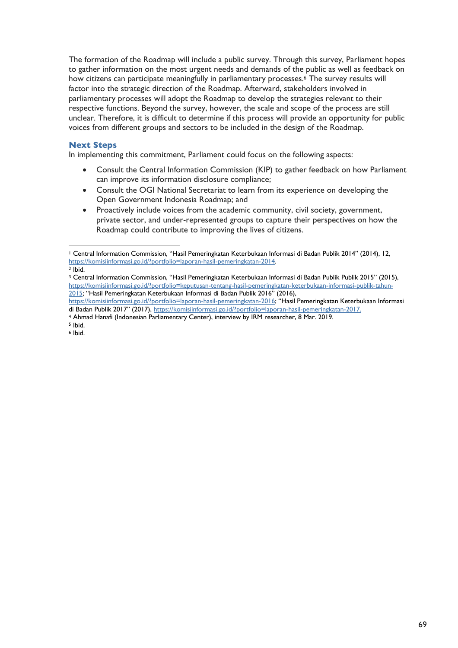The formation of the Roadmap will include a public survey. Through this survey, Parliament hopes to gather information on the most urgent needs and demands of the public as well as feedback on how citizens can participate meaningfully in parliamentary processes.<sup>6</sup> The survey results will factor into the strategic direction of the Roadmap. Afterward, stakeholders involved in parliamentary processes will adopt the Roadmap to develop the strategies relevant to their respective functions. Beyond the survey, however, the scale and scope of the process are still unclear. Therefore, it is difficult to determine if this process will provide an opportunity for public voices from different groups and sectors to be included in the design of the Roadmap.

## **Next Steps**

In implementing this commitment, Parliament could focus on the following aspects:

- Consult the Central Information Commission (KIP) to gather feedback on how Parliament can improve its information disclosure compliance;
- Consult the OGI National Secretariat to learn from its experience on developing the Open Government Indonesia Roadmap; and
- Proactively include voices from the academic community, civil society, government, private sector, and under-represented groups to capture their perspectives on how the Roadmap could contribute to improving the lives of citizens.

<sup>5</sup> Ibid.

<sup>6</sup> Ibid.

<sup>1</sup> Central Information Commission, "Hasil Pemeringkatan Keterbukaan Informasi di Badan Publik 2014" (2014), 12, https://komisiinformasi.go.id/?portfolio=laporan-hasil-pemeringkatan-2014. <sup>2</sup> Ibid.

<sup>3</sup> Central Information Commission, "Hasil Pemeringkatan Keterbukaan Informasi di Badan Publik Publik 2015" (2015), https://komisiinformasi.go.id/?portfolio=keputusan-tentang-hasil-pemeringkatan-keterbukaan-informasi-publik-tahun-2015; "Hasil Pemeringkatan Keterbukaan Informasi di Badan Publik 2016" (2016),

https://komisiinformasi.go.id/?portfolio=laporan-hasil-pemeringkatan-2016; "Hasil Pemeringkatan Keterbukaan Informasi di Badan Publik 2017" (2017), https://komisiinformasi.go.id/?portfolio=laporan-hasil-pemeringkatan-2017.

<sup>4</sup> Ahmad Hanafi (Indonesian Parliamentary Center), interview by IRM researcher, 8 Mar. 2019.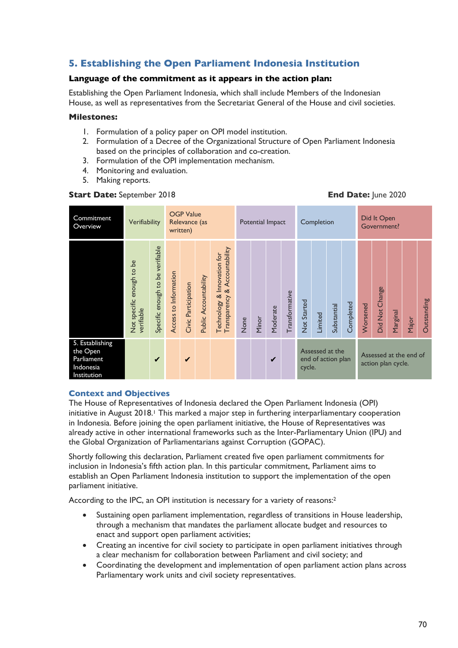## **5. Establishing the Open Parliament Indonesia Institution**

## **Language of the commitment as it appears in the action plan:**

Establishing the Open Parliament Indonesia, which shall include Members of the Indonesian House, as well as representatives from the Secretariat General of the House and civil societies.

## **Milestones:**

- 1. Formulation of a policy paper on OPI model institution.
- 2. Formulation of a Decree of the Organizational Structure of Open Parliament Indonesia based on the principles of collaboration and co-creation.
- 3. Formulation of the OPI implementation mechanism.
- 4. Monitoring and evaluation.
- 5. Making reports.

## **Start Date:** September 2018 **End Date:** June 2020

| Commitment<br>Overview                                                | Verifiability                           | <b>OGP Value</b><br>Relevance (as<br>written) |                       |                     |                       |                                                                 | Potential Impact |       |          |                | Completion                                      |         |             | Did It Open<br>Government? |                                              |                |          |       |             |  |
|-----------------------------------------------------------------------|-----------------------------------------|-----------------------------------------------|-----------------------|---------------------|-----------------------|-----------------------------------------------------------------|------------------|-------|----------|----------------|-------------------------------------------------|---------|-------------|----------------------------|----------------------------------------------|----------------|----------|-------|-------------|--|
|                                                                       | Not specific enough to be<br>verifiable | Specific enough to be verifiable              | Access to Information | Civic Participation | Public Accountability | & Accountability<br>Technology & Innovation for<br>Transparency | None             | Minor | Moderate | Transformative | Not Started                                     | Limited | Substantial | Completed                  | Worsened                                     | Did Not Change | Marginal | Major | Outstanding |  |
| 5. Establishing<br>the Open<br>Parliament<br>Indonesia<br>Institution |                                         | ✔                                             |                       | ✔                   |                       |                                                                 |                  |       | ✔        |                | Assessed at the<br>end of action plan<br>cycle. |         |             |                            | Assessed at the end of<br>action plan cycle. |                |          |       |             |  |

## **Context and Objectives**

The House of Representatives of Indonesia declared the Open Parliament Indonesia (OPI) initiative in August 2018.<sup>1</sup> This marked a major step in furthering interparliamentary cooperation in Indonesia. Before joining the open parliament initiative, the House of Representatives was already active in other international frameworks such as the Inter-Parliamentary Union (IPU) and the Global Organization of Parliamentarians against Corruption (GOPAC).

Shortly following this declaration, Parliament created five open parliament commitments for inclusion in Indonesia's fifth action plan. In this particular commitment, Parliament aims to establish an Open Parliament Indonesia institution to support the implementation of the open parliament initiative.

According to the IPC, an OPI institution is necessary for a variety of reasons:<sup>2</sup>

- Sustaining open parliament implementation, regardless of transitions in House leadership, through a mechanism that mandates the parliament allocate budget and resources to enact and support open parliament activities;
- Creating an incentive for civil society to participate in open parliament initiatives through a clear mechanism for collaboration between Parliament and civil society; and
- Coordinating the development and implementation of open parliament action plans across Parliamentary work units and civil society representatives.